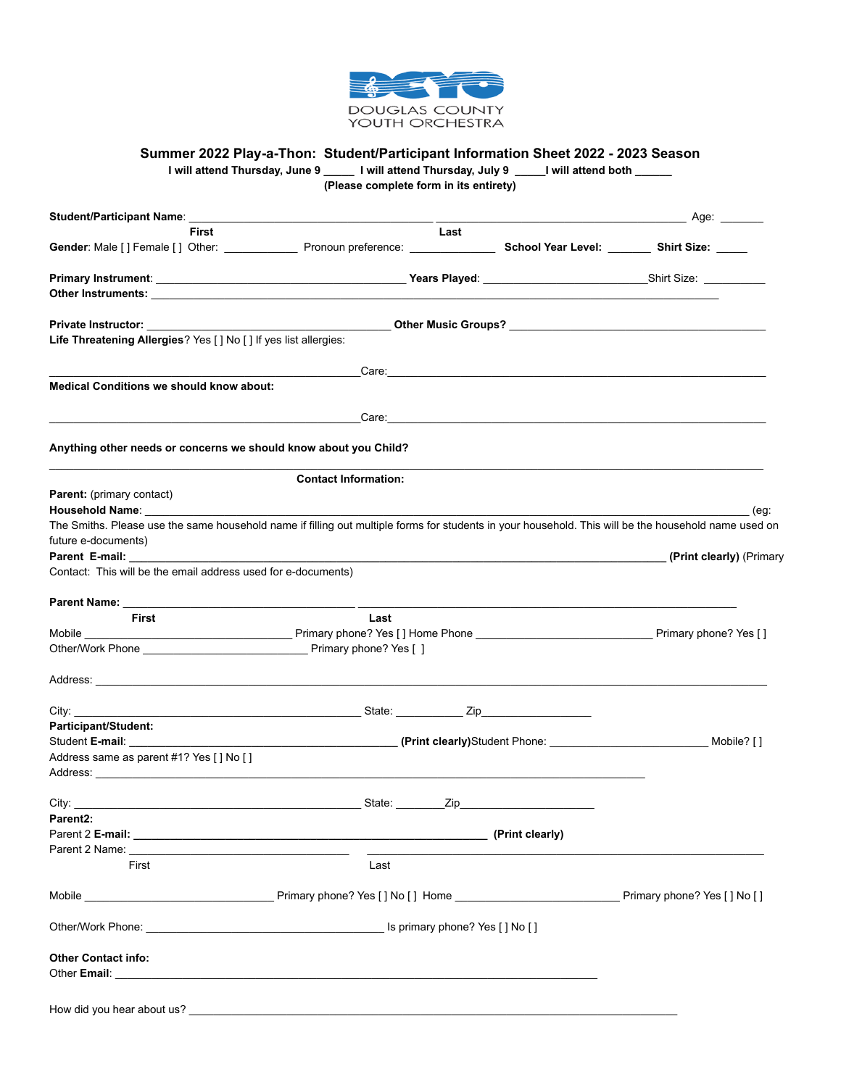

## **Summer 2022 Play-a-Thon: Student/Participant Information Sheet 2022 - 2023 Season**

|                                                                                                                                                                                                       | (Please complete form in its entirety)                                                              |                                                                                                                | I will attend Thursday, June 9 ______ I will attend Thursday, July 9 _____I will attend both ______ |
|-------------------------------------------------------------------------------------------------------------------------------------------------------------------------------------------------------|-----------------------------------------------------------------------------------------------------|----------------------------------------------------------------------------------------------------------------|-----------------------------------------------------------------------------------------------------|
|                                                                                                                                                                                                       |                                                                                                     |                                                                                                                |                                                                                                     |
| First                                                                                                                                                                                                 | Last                                                                                                |                                                                                                                |                                                                                                     |
| Gender: Male [] Female [] Other: _____________________ Pronoun preference: __________________________________ School Year Level: __________ Shirt Size: ______                                        |                                                                                                     |                                                                                                                |                                                                                                     |
|                                                                                                                                                                                                       |                                                                                                     |                                                                                                                |                                                                                                     |
|                                                                                                                                                                                                       |                                                                                                     |                                                                                                                |                                                                                                     |
|                                                                                                                                                                                                       |                                                                                                     |                                                                                                                |                                                                                                     |
| Life Threatening Allergies? Yes [ ] No [ ] If yes list allergies:                                                                                                                                     |                                                                                                     |                                                                                                                |                                                                                                     |
|                                                                                                                                                                                                       |                                                                                                     | Care: 2008. 2008. 2009. 2009. 2010. 2010. 2010. 2010. 2010. 2010. 2010. 2010. 2010. 2010. 2010. 2010. 2010. 20 |                                                                                                     |
| <b>Medical Conditions we should know about:</b>                                                                                                                                                       |                                                                                                     |                                                                                                                |                                                                                                     |
|                                                                                                                                                                                                       |                                                                                                     |                                                                                                                |                                                                                                     |
| Anything other needs or concerns we should know about you Child?                                                                                                                                      |                                                                                                     |                                                                                                                |                                                                                                     |
|                                                                                                                                                                                                       | <b>Contact Information:</b>                                                                         |                                                                                                                |                                                                                                     |
| <b>Parent:</b> (primary contact)                                                                                                                                                                      |                                                                                                     |                                                                                                                |                                                                                                     |
| Household Name:                                                                                                                                                                                       |                                                                                                     |                                                                                                                | (eg:                                                                                                |
| The Smiths. Please use the same household name if filling out multiple forms for students in your household. This will be the household name used on                                                  |                                                                                                     |                                                                                                                |                                                                                                     |
| future e-documents)                                                                                                                                                                                   |                                                                                                     |                                                                                                                |                                                                                                     |
| Parent E-mail:                                                                                                                                                                                        |                                                                                                     |                                                                                                                |                                                                                                     |
|                                                                                                                                                                                                       |                                                                                                     |                                                                                                                |                                                                                                     |
| Contact: This will be the email address used for e-documents)                                                                                                                                         |                                                                                                     |                                                                                                                |                                                                                                     |
|                                                                                                                                                                                                       |                                                                                                     |                                                                                                                |                                                                                                     |
|                                                                                                                                                                                                       |                                                                                                     |                                                                                                                |                                                                                                     |
| First                                                                                                                                                                                                 | Last                                                                                                |                                                                                                                |                                                                                                     |
|                                                                                                                                                                                                       |                                                                                                     |                                                                                                                |                                                                                                     |
|                                                                                                                                                                                                       |                                                                                                     |                                                                                                                |                                                                                                     |
|                                                                                                                                                                                                       |                                                                                                     |                                                                                                                |                                                                                                     |
|                                                                                                                                                                                                       |                                                                                                     |                                                                                                                |                                                                                                     |
|                                                                                                                                                                                                       |                                                                                                     |                                                                                                                |                                                                                                     |
|                                                                                                                                                                                                       |                                                                                                     |                                                                                                                |                                                                                                     |
|                                                                                                                                                                                                       | __________________________________(Print clearly)Student Phone: ___________________________________ |                                                                                                                | Mobile? [ ]                                                                                         |
|                                                                                                                                                                                                       |                                                                                                     |                                                                                                                |                                                                                                     |
|                                                                                                                                                                                                       |                                                                                                     |                                                                                                                |                                                                                                     |
|                                                                                                                                                                                                       |                                                                                                     |                                                                                                                |                                                                                                     |
|                                                                                                                                                                                                       |                                                                                                     |                                                                                                                |                                                                                                     |
|                                                                                                                                                                                                       |                                                                                                     |                                                                                                                |                                                                                                     |
|                                                                                                                                                                                                       |                                                                                                     |                                                                                                                |                                                                                                     |
|                                                                                                                                                                                                       |                                                                                                     |                                                                                                                |                                                                                                     |
| Participant/Student:<br>Student E-mail: _____________<br>Address same as parent #1? Yes [ ] No [ ]<br>Address:<br>City:<br>Parent <sub>2</sub> :<br>Parent 2 E-mail: (1992) Parent 2 E-mail:<br>First | Last                                                                                                |                                                                                                                |                                                                                                     |
|                                                                                                                                                                                                       |                                                                                                     |                                                                                                                |                                                                                                     |
|                                                                                                                                                                                                       |                                                                                                     |                                                                                                                |                                                                                                     |
|                                                                                                                                                                                                       |                                                                                                     |                                                                                                                |                                                                                                     |
| <b>Other Contact info:</b>                                                                                                                                                                            |                                                                                                     |                                                                                                                |                                                                                                     |

How did you hear about us?